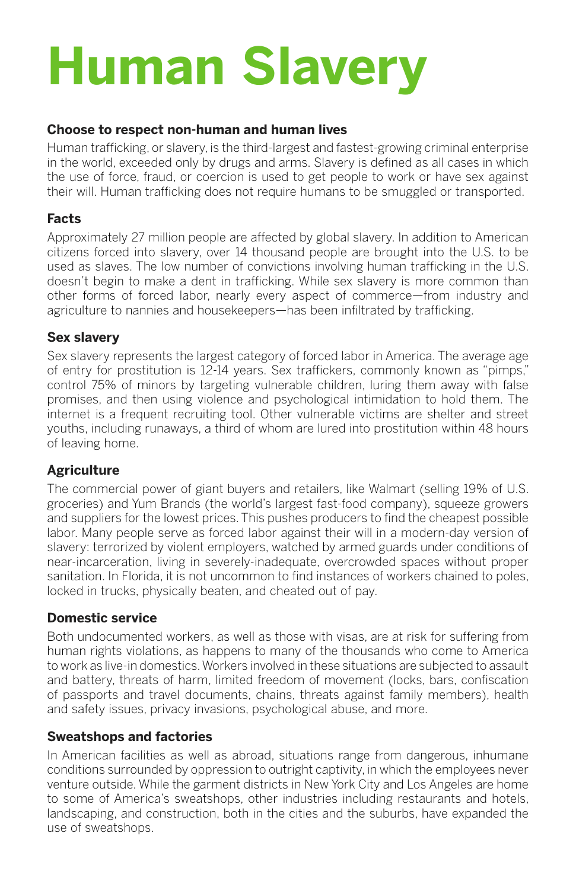# **Human Slavery**

#### **Choose to respect non-human and human lives**

Human trafficking, or slavery, is the third-largest and fastest-growing criminal enterprise in the world, exceeded only by drugs and arms. Slavery is defined as all cases in which the use of force, fraud, or coercion is used to get people to work or have sex against their will. Human trafficking does not require humans to be smuggled or transported.

# **Facts**

Approximately 27 million people are affected by global slavery. In addition to American citizens forced into slavery, over 14 thousand people are brought into the U.S. to be used as slaves. The low number of convictions involving human trafficking in the U.S. doesn't begin to make a dent in trafficking. While sex slavery is more common than other forms of forced labor, nearly every aspect of commerce—from industry and agriculture to nannies and housekeepers—has been infiltrated by trafficking.

# **Sex slavery**

Sex slavery represents the largest category of forced labor in America. The average age of entry for prostitution is 12-14 years. Sex traffickers, commonly known as "pimps," control 75% of minors by targeting vulnerable children, luring them away with false promises, and then using violence and psychological intimidation to hold them. The internet is a frequent recruiting tool. Other vulnerable victims are shelter and street youths, including runaways, a third of whom are lured into prostitution within 48 hours of leaving home.

# **Agriculture**

The commercial power of giant buyers and retailers, like Walmart (selling 19% of U.S. groceries) and Yum Brands (the world's largest fast-food company), squeeze growers and suppliers for the lowest prices. This pushes producers to find the cheapest possible labor. Many people serve as forced labor against their will in a modern-day version of slavery: terrorized by violent employers, watched by armed guards under conditions of near-incarceration, living in severely-inadequate, overcrowded spaces without proper sanitation. In Florida, it is not uncommon to find instances of workers chained to poles, locked in trucks, physically beaten, and cheated out of pay.

# **Domestic service**

Both undocumented workers, as well as those with visas, are at risk for suffering from human rights violations, as happens to many of the thousands who come to America to work as live-in domestics. Workers involved in these situations are subjected to assault and battery, threats of harm, limited freedom of movement (locks, bars, confiscation of passports and travel documents, chains, threats against family members), health and safety issues, privacy invasions, psychological abuse, and more.

# **Sweatshops and factories**

In American facilities as well as abroad, situations range from dangerous, inhumane conditions surrounded by oppression to outright captivity, in which the employees never venture outside. While the garment districts in New York City and Los Angeles are home to some of America's sweatshops, other industries including restaurants and hotels, landscaping, and construction, both in the cities and the suburbs, have expanded the use of sweatshops.